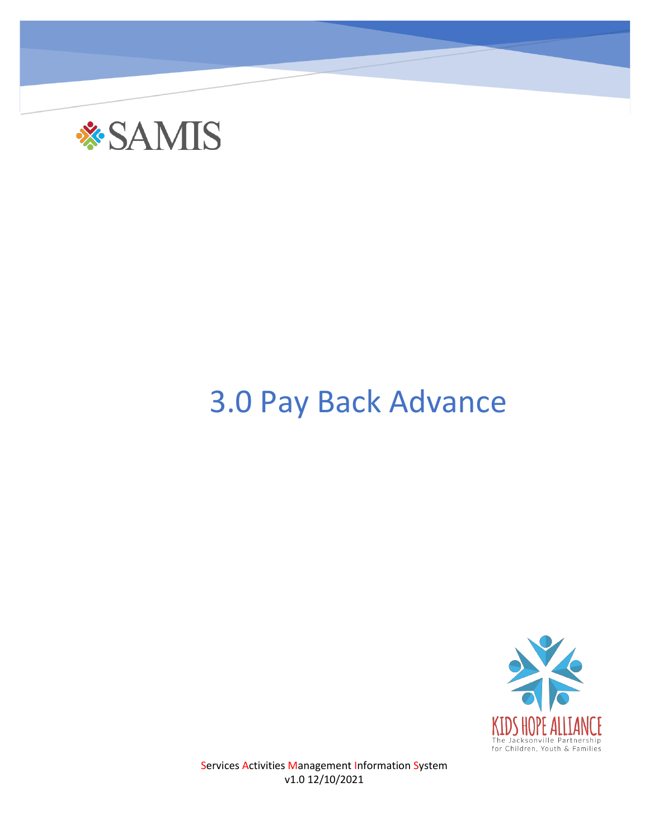

## 3.0 Pay Back Advance



Services Activities Management Information System v1.0 12/10/2021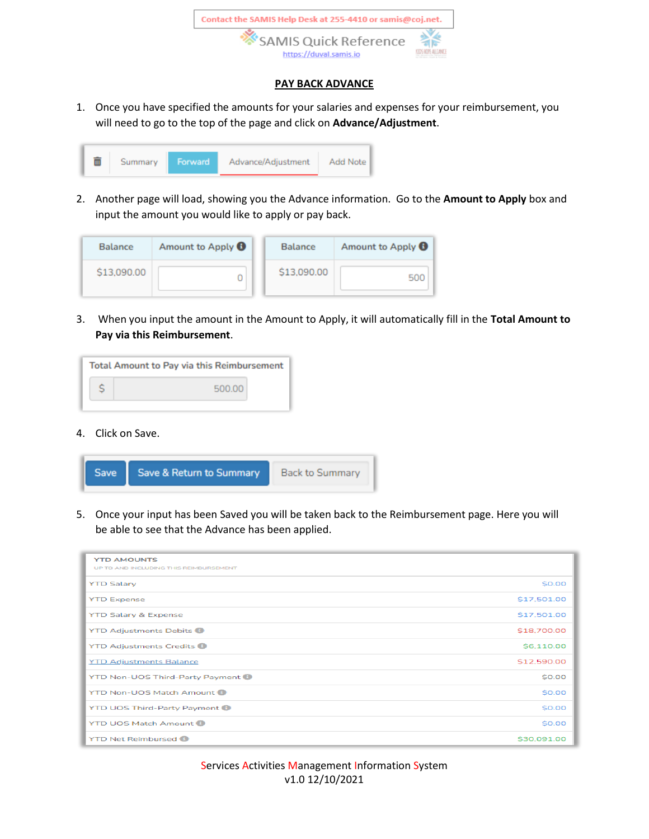

## **PAY BACK ADVANCE**

1. Once you have specified the amounts for your salaries and expenses for your reimbursement, you will need to go to the top of the page and click on **Advance/Adjustment**.

| Advance/Adjustment<br>Forward<br>Add Note<br>Summary |
|------------------------------------------------------|
|------------------------------------------------------|

2. Another page will load, showing you the Advance information. Go to the **Amount to Apply** box and input the amount you would like to apply or pay back.

| <b>Balance</b> | Amount to Apply <b>O</b> | <b>Balance</b> | Amount to Apply <b>O</b> |
|----------------|--------------------------|----------------|--------------------------|
| \$13,090.00    |                          | \$13,090.00    | 500                      |

3. When you input the amount in the Amount to Apply, it will automatically fill in the **Total Amount to Pay via this Reimbursement**.

| <b>Total Amount to Pay via this Reimbursement</b> |        |  |  |  |
|---------------------------------------------------|--------|--|--|--|
|                                                   | 500.00 |  |  |  |
|                                                   |        |  |  |  |

4. Click on Save.

| Save & Return to Summary | <b>Back to Summary</b> |
|--------------------------|------------------------|
|                          |                        |

5. Once your input has been Saved you will be taken back to the Reimbursement page. Here you will be able to see that the Advance has been applied.

| <b>YTD AMOUNTS</b><br>UP TO AND INCLUDING THIS REIMBURSEMENT |             |
|--------------------------------------------------------------|-------------|
| <b>YTD Salary</b>                                            | \$0.00      |
| <b>YTD Expense</b>                                           | \$17,501.00 |
| <b>YTD Salary &amp; Expense</b>                              | \$17,501.00 |
| <b>YTD Adjustments Debits</b>                                | \$18,700.00 |
| <b>YTD Adjustments Credits @</b>                             | \$6,110,00  |
| <b>YTD Adjustments Balance</b>                               | \$12,590.00 |
| YTD Non-UOS Third-Party Payment                              | \$0.00      |
| <b>YTD Non-UOS Match Amount O</b>                            | \$0.00      |
| <b>YTD UOS Third-Party Payment O</b>                         | \$0.00      |
| <b>YTD UOS Match Amount O</b>                                | \$0.00      |
| <b>YTD Net Reimbursed ®</b>                                  | \$30,091.00 |